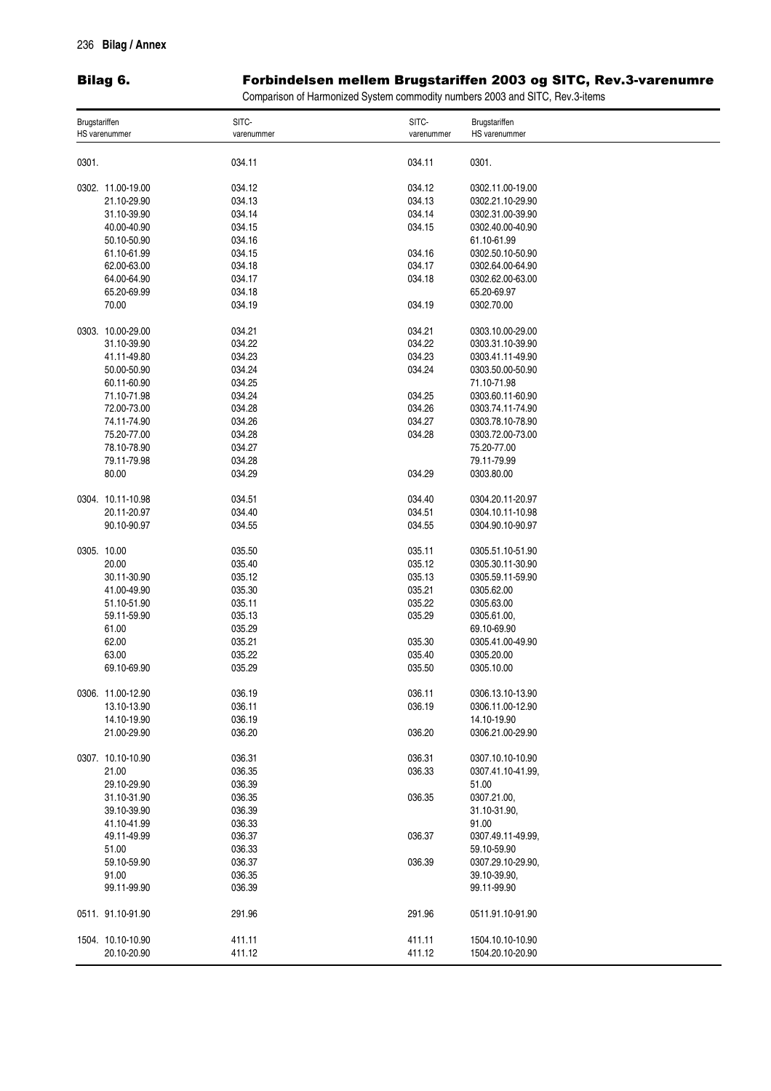## Bilag 6. The results of the results of the results of the results of the results of the results of the results

## rbindelsen mellem Brugstariffen 2003 og SITC, Rev.3-varenumre

Comparison of Harmonized System commodity numbers 2003 and SITC, Rev.3-items

| Brugstariffen |                   | SITC-      | SITC-      | Brugstariffen     |
|---------------|-------------------|------------|------------|-------------------|
| HS varenummer |                   | varenummer | varenummer | HS varenummer     |
| 0301.         |                   | 034.11     | 034.11     | 0301.             |
|               |                   |            |            |                   |
|               | 0302. 11.00-19.00 | 034.12     | 034.12     | 0302.11.00-19.00  |
|               | 21.10-29.90       | 034.13     | 034.13     | 0302.21.10-29.90  |
|               | 31.10-39.90       | 034.14     | 034.14     | 0302.31.00-39.90  |
|               | 40.00-40.90       | 034.15     | 034.15     | 0302.40.00-40.90  |
|               | 50.10-50.90       | 034.16     |            | 61.10-61.99       |
|               | 61.10-61.99       | 034.15     | 034.16     | 0302.50.10-50.90  |
|               | 62.00-63.00       | 034.18     | 034.17     | 0302.64.00-64.90  |
|               |                   |            |            |                   |
|               | 64.00-64.90       | 034.17     | 034.18     | 0302.62.00-63.00  |
|               | 65.20-69.99       | 034.18     |            | 65.20-69.97       |
|               | 70.00             | 034.19     | 034.19     | 0302.70.00        |
|               | 0303. 10.00-29.00 | 034.21     | 034.21     | 0303.10.00-29.00  |
|               | 31.10-39.90       | 034.22     | 034.22     | 0303.31.10-39.90  |
|               | 41.11-49.80       | 034.23     | 034.23     | 0303.41.11-49.90  |
|               | 50.00-50.90       | 034.24     | 034.24     | 0303.50.00-50.90  |
|               |                   |            |            |                   |
|               | 60.11-60.90       | 034.25     |            | 71.10-71.98       |
|               | 71.10-71.98       | 034.24     | 034.25     | 0303.60.11-60.90  |
|               | 72.00-73.00       | 034.28     | 034.26     | 0303.74.11-74.90  |
|               | 74.11-74.90       | 034.26     | 034.27     | 0303.78.10-78.90  |
|               | 75.20-77.00       | 034.28     | 034.28     | 0303.72.00-73.00  |
|               | 78.10-78.90       | 034.27     |            | 75.20-77.00       |
|               | 79.11-79.98       | 034.28     |            | 79.11-79.99       |
|               |                   |            |            |                   |
|               | 80.00             | 034.29     | 034.29     | 0303.80.00        |
|               | 0304. 10.11-10.98 | 034.51     | 034.40     | 0304.20.11-20.97  |
|               | 20.11-20.97       | 034.40     | 034.51     | 0304.10.11-10.98  |
|               | 90.10-90.97       | 034.55     | 034.55     | 0304.90.10-90.97  |
|               |                   |            |            |                   |
| 0305. 10.00   |                   | 035.50     | 035.11     | 0305.51.10-51.90  |
|               | 20.00             | 035.40     | 035.12     | 0305.30.11-30.90  |
|               | 30.11-30.90       | 035.12     | 035.13     | 0305.59.11-59.90  |
|               |                   |            |            |                   |
|               | 41.00-49.90       | 035.30     | 035.21     | 0305.62.00        |
|               | 51.10-51.90       | 035.11     | 035.22     | 0305.63.00        |
|               | 59.11-59.90       | 035.13     | 035.29     | 0305.61.00,       |
|               | 61.00             | 035.29     |            | 69.10-69.90       |
|               | 62.00             | 035.21     | 035.30     | 0305.41.00-49.90  |
|               | 63.00             | 035.22     | 035.40     | 0305.20.00        |
|               | 69.10-69.90       | 035.29     | 035.50     | 0305.10.00        |
|               |                   |            |            |                   |
|               | 0306. 11.00-12.90 | 036.19     | 036.11     | 0306.13.10-13.90  |
|               | 13.10-13.90       | 036.11     | 036.19     | 0306.11.00-12.90  |
|               | 14.10-19.90       | 036.19     |            | 14.10-19.90       |
|               | 21.00-29.90       | 036.20     | 036.20     | 0306.21.00-29.90  |
|               |                   |            |            |                   |
|               | 0307. 10.10-10.90 | 036.31     | 036.31     | 0307.10.10-10.90  |
|               | 21.00             | 036.35     | 036.33     | 0307.41.10-41.99, |
|               | 29.10-29.90       | 036.39     |            | 51.00             |
|               |                   |            |            |                   |
|               | 31.10-31.90       | 036.35     | 036.35     | 0307.21.00,       |
|               | 39.10-39.90       | 036.39     |            | 31.10-31.90,      |
|               | 41.10-41.99       | 036.33     |            | 91.00             |
|               | 49.11-49.99       | 036.37     | 036.37     | 0307.49.11-49.99, |
|               | 51.00             | 036.33     |            | 59.10-59.90       |
|               | 59.10-59.90       | 036.37     | 036.39     | 0307.29.10-29.90, |
|               |                   |            |            |                   |
|               | 91.00             | 036.35     |            | 39.10-39.90,      |
|               | 99.11-99.90       | 036.39     |            | 99.11-99.90       |
|               | 0511. 91.10-91.90 | 291.96     | 291.96     | 0511.91.10-91.90  |
|               | 1504. 10.10-10.90 | 411.11     | 411.11     | 1504.10.10-10.90  |
|               | 20.10-20.90       | 411.12     | 411.12     | 1504.20.10-20.90  |
|               |                   |            |            |                   |